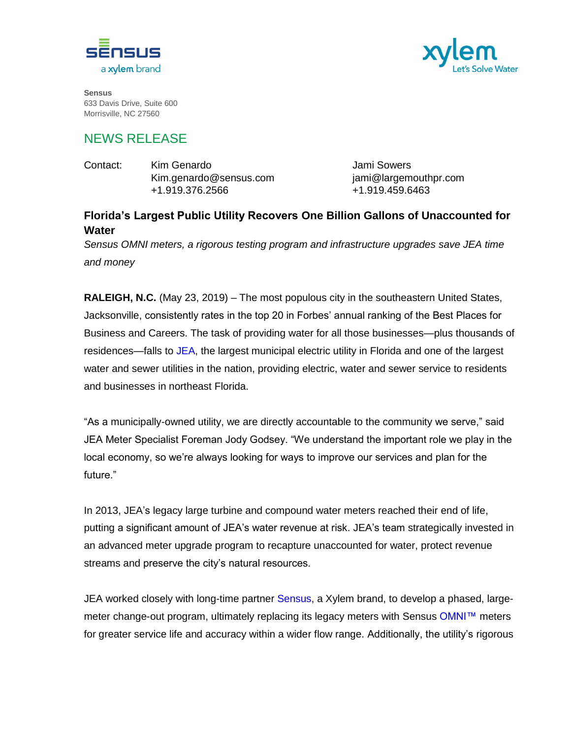



**Sensus** 633 Davis Drive, Suite 600 Morrisville, NC 27560

## NEWS RELEASE

| Contact: | Kim Genardo            |
|----------|------------------------|
|          | Kim.genardo@sensus.com |
|          | +1.919.376.2566        |

Jami Sowers jami@largemouthpr.com +1.919.459.6463

## **Florida's Largest Public Utility Recovers One Billion Gallons of Unaccounted for Water**

*Sensus OMNI meters, a rigorous testing program and infrastructure upgrades save JEA time and money*

**RALEIGH, N.C.** (May 23, 2019) – The most populous city in the southeastern United States, Jacksonville, consistently rates in the top 20 in Forbes' annual ranking of the Best Places for Business and Careers. The task of providing water for all those businesses—plus thousands of residences—falls to [JEA,](https://www.jea.com/) the largest municipal electric utility in Florida and one of the largest water and sewer utilities in the nation, providing electric, water and sewer service to residents and businesses in northeast Florida.

"As a municipally-owned utility, we are directly accountable to the community we serve," said JEA Meter Specialist Foreman Jody Godsey. "We understand the important role we play in the local economy, so we're always looking for ways to improve our services and plan for the future."

In 2013, JEA's legacy large turbine and compound water meters reached their end of life, putting a significant amount of JEA's water revenue at risk. JEA's team strategically invested in an advanced meter upgrade program to recapture unaccounted for water, protect revenue streams and preserve the city's natural resources.

JEA worked closely with long-time partner [Sensus,](https://sensus.com/) a Xylem brand, to develop a phased, large-meter change-out program, ultimately replacing its legacy meters with Sensus [OMNI™](https://sensus.com/products/omni-water-meters/) meters for greater service life and accuracy within a wider flow range. Additionally, the utility's rigorous